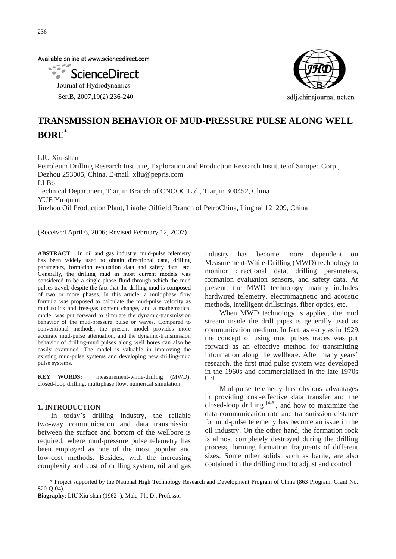Available online at www.sciencedirect.com

**ScienceDirect** Journal of Hydrodynamics<br>Ser.B, 2007,19(2):236-240



## **TRANSMISSION BEHAVIOR OF MUD-PRESSURE PULSE ALONG WELL BORE\***

LIU Xiu-shan

Petroleum Drilling Research Institute, Exploration and Production Research Institute of Sinopec Corp., Dezhou 253005, China, E-mail: xliu@pepris.com LI Bo Technical Department, Tianjin Branch of CNOOC Ltd., Tianjin 300452, China YUE Yu-quan

Jinzhou Oil Production Plant, Liaohe Oilfield Branch of PetroChina, Linghai 121209, China

(Received April 6, 2006; Revised February 12, 2007)

**ABSTRACT:** In oil and gas industry, mud-pulse telemetry has been widely used to obtain directional data, drilling parameters, formation evaluation data and safety data, etc. Generally, the drilling mud in most current models was considered to be a single-phase fluid through which the mud pulses travel, despite the fact that the drilling mud is composed of two or more phases. In this article, a multiphase flow formula was proposed to calculate the mud-pulse velocity as mud solids and free-gas content change, and a mathematical model was put forward to simulate the dynamic-transmission behavior of the mud-pressure pulse or waves. Compared to conventional methods, the present model provides more accurate mud-pulse attenuation, and the dynamic-transmission behavior of drilling-mud pulses along well bores can also be easily examined. The model is valuable in improving the existing mud-pulse systems and developing new drilling-mud pulse systems.

**KEY WORDS:** measurement-while-drilling **(**MWD), closed-loop drilling, multiphase flow, numerical simulation

### **1. INTRODUCTION**

In today's drilling industry, the reliable two-way communication and data transmission between the surface and bottom of the wellbore is required, where mud-pressure pulse telemetry has been employed as one of the most popular and low-cost methods. Besides, with the increasing complexity and cost of drilling system, oil and gas industry has become more dependent on Measurement-While-Drilling (MWD) technology to monitor directional data, drilling parameters, formation evaluation sensors, and safety data. At present, the MWD technology mainly includes hardwired telemetry, electromagnetic and acoustic methods, intelligent drillstrings, fiber optics, etc.

When MWD technology is applied, the mud stream inside the drill pipes is generally used as communication medium. In fact, as early as in 1929, the concept of using mud pulses traces was put forward as an effective method for transmitting information along the wellbore. After many years' research, the first mud pulse system was developed in the 1960s and commercialized in the late 1970s [1-3].

Mud-pulse telemetry has obvious advantages in providing cost-effective data transfer and the closed-loop drilling  $[4-6]$ , and how to maximize the data communication rate and transmission distance for mud-pulse telemetry has become an issue in the oil industry. On the other hand, the formation rock is almost completely destroyed during the drilling process, forming formation fragments of different sizes. Some other solids, such as barite, are also contained in the drilling mud to adjust and control

\* Project supported by the National High Technology Research and Development Program of China (863 Program, Grant No. 820-Q-04).

**Biography**: LIU Xiu-shan (1962- ), Male, Ph. D., Professor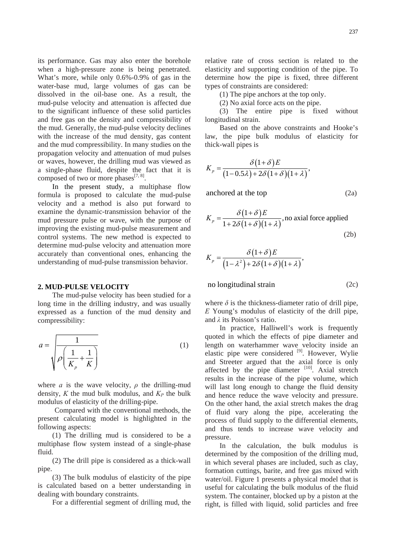its performance. Gas may also enter the borehole when a high-pressure zone is being penetrated. What's more, while only 0.6%-0.9% of gas in the water-base mud, large volumes of gas can be dissolved in the oil-base one. As a result, the mud-pulse velocity and attenuation is affected due to the significant influence of these solid particles and free gas on the density and compressibility of the mud. Generally, the mud-pulse velocity declines with the increase of the mud density, gas content and the mud compressibility. In many studies on the propagation velocity and attenuation of mud pulses or waves, however, the drilling mud was viewed as a single-phase fluid, despite the fact that it is composed of two or more phases $^{[7, 8]}$ .

In the present study, a multiphase flow formula is proposed to calculate the mud-pulse velocity and a method is also put forward to examine the dynamic-transmission behavior of the mud pressure pulse or wave, with the purpose of improving the existing mud-pulse measurement and control systems. The new method is expected to determine mud-pulse velocity and attenuation more accurately than conventional ones, enhancing the understanding of mud-pulse transmission behavior.

#### **2. MUD-PULSE VELOCITY**

The mud-pulse velocity has been studied for a long time in the drilling industry, and was usually expressed as a function of the mud density and compressibility:

$$
a = \frac{1}{\sqrt{\rho \left(\frac{1}{K_p} + \frac{1}{K}\right)}}
$$
(1)

where *a* is the wave velocity,  $\rho$  the drilling-mud density,  $K$  the mud bulk modulus, and  $K_P$  the bulk modulus of elasticity of the drilling-pipe.

 Compared with the conventional methods, the present calculating model is highlighted in the following aspects:

(1) The drilling mud is considered to be a multiphase flow system instead of a single-phase fluid.

(2) The drill pipe is considered as a thick-wall pipe.

(3) The bulk modulus of elasticity of the pipe is calculated based on a better understanding in dealing with boundary constraints.

For a differential segment of drilling mud, the

relative rate of cross section is related to the elasticity and supporting condition of the pipe. To determine how the pipe is fixed, three different types of constraints are considered:

(1) The pipe anchors at the top only.

(2) No axial force acts on the pipe.

(3) The entire pipe is fixed without longitudinal strain.

Based on the above constraints and Hooke's law, the pipe bulk modulus of elasticity for thick-wall pipes is

$$
K_p = \frac{\delta(1+\delta)E}{(1-0.5\lambda)+2\delta(1+\delta)(1+\lambda)},
$$

anchored at the top (2a)

$$
K_p = \frac{\delta(1+\delta)E}{1+2\delta(1+\delta)(1+\lambda)}, \text{no axial force applied}
$$
\n(2b)

$$
K_p = \frac{\delta(1+\delta)E}{(1-\lambda^2)+2\delta(1+\delta)(1+\lambda)},
$$

#### no longitudinal strain (2c)

where  $\delta$  is the thickness-diameter ratio of drill pipe, *E* Young's modulus of elasticity of the drill pipe, and *λ* its Poisson's ratio.

In practice, Halliwell's work is frequently quoted in which the effects of pipe diameter and length on waterhammer wave velocity inside an elastic pipe were considered <sup>[9]</sup>. However, Wylie and Streeter argued that the axial force is only affected by the pipe diameter  $[10]$ . Axial stretch results in the increase of the pipe volume, which will last long enough to change the fluid density and hence reduce the wave velocity and pressure. On the other hand, the axial stretch makes the drag of fluid vary along the pipe, accelerating the process of fluid supply to the differential elements, and thus tends to increase wave velocity and pressure.

In the calculation, the bulk modulus is determined by the composition of the drilling mud, in which several phases are included, such as clay, formation cuttings, barite, and free gas mixed with water/oil. Figure 1 presents a physical model that is useful for calculating the bulk modulus of the fluid system. The container, blocked up by a piston at the right, is filled with liquid, solid particles and free